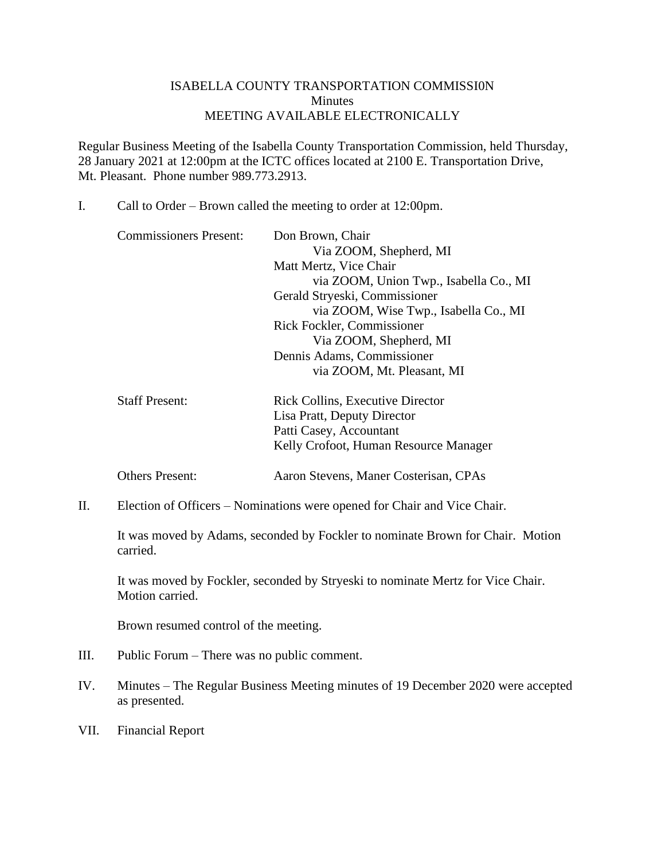## ISABELLA COUNTY TRANSPORTATION COMMISSI0N **Minutes** MEETING AVAILABLE ELECTRONICALLY

Regular Business Meeting of the Isabella County Transportation Commission, held Thursday, 28 January 2021 at 12:00pm at the ICTC offices located at 2100 E. Transportation Drive, Mt. Pleasant. Phone number 989.773.2913.

I. Call to Order – Brown called the meeting to order at 12:00pm.

| <b>Commissioners Present:</b> | Don Brown, Chair                        |
|-------------------------------|-----------------------------------------|
|                               | Via ZOOM, Shepherd, MI                  |
|                               | Matt Mertz, Vice Chair                  |
|                               | via ZOOM, Union Twp., Isabella Co., MI  |
|                               | Gerald Stryeski, Commissioner           |
|                               | via ZOOM, Wise Twp., Isabella Co., MI   |
|                               | Rick Fockler, Commissioner              |
|                               | Via ZOOM, Shepherd, MI                  |
|                               | Dennis Adams, Commissioner              |
|                               | via ZOOM, Mt. Pleasant, MI              |
| <b>Staff Present:</b>         | <b>Rick Collins, Executive Director</b> |

| Staff Present: | <b>Rick Collins, Executive Director</b> |
|----------------|-----------------------------------------|
|                | Lisa Pratt, Deputy Director             |
|                | Patti Casey, Accountant                 |
|                | Kelly Crofoot, Human Resource Manager   |
|                |                                         |

Others Present: Aaron Stevens, Maner Costerisan, CPAs

II. Election of Officers – Nominations were opened for Chair and Vice Chair.

It was moved by Adams, seconded by Fockler to nominate Brown for Chair. Motion carried.

It was moved by Fockler, seconded by Stryeski to nominate Mertz for Vice Chair. Motion carried.

Brown resumed control of the meeting.

- III. Public Forum There was no public comment.
- IV. Minutes The Regular Business Meeting minutes of 19 December 2020 were accepted as presented.
- VII. Financial Report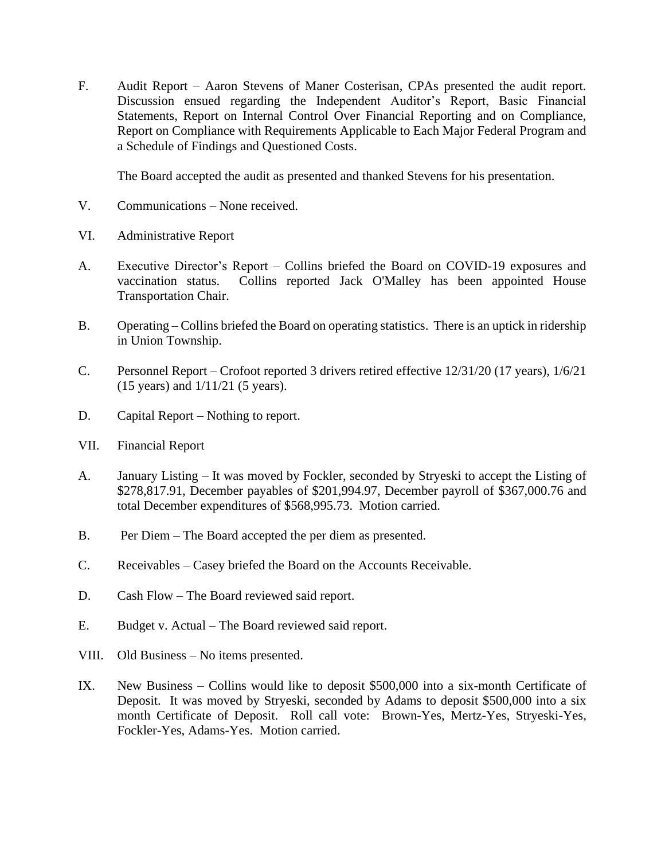F. Audit Report – Aaron Stevens of Maner Costerisan, CPAs presented the audit report. Discussion ensued regarding the Independent Auditor's Report, Basic Financial Statements, Report on Internal Control Over Financial Reporting and on Compliance, Report on Compliance with Requirements Applicable to Each Major Federal Program and a Schedule of Findings and Questioned Costs.

The Board accepted the audit as presented and thanked Stevens for his presentation.

- V. Communications None received.
- VI. Administrative Report
- A. Executive Director's Report Collins briefed the Board on COVID-19 exposures and vaccination status. Collins reported Jack O'Malley has been appointed House Transportation Chair.
- B. Operating Collins briefed the Board on operating statistics. There is an uptick in ridership in Union Township.
- C. Personnel Report Crofoot reported 3 drivers retired effective 12/31/20 (17 years), 1/6/21 (15 years) and 1/11/21 (5 years).
- D. Capital Report Nothing to report.
- VII. Financial Report
- A. January Listing It was moved by Fockler, seconded by Stryeski to accept the Listing of \$278,817.91, December payables of \$201,994.97, December payroll of \$367,000.76 and total December expenditures of \$568,995.73. Motion carried.
- B. Per Diem The Board accepted the per diem as presented.
- C. Receivables Casey briefed the Board on the Accounts Receivable.
- D. Cash Flow The Board reviewed said report.
- E. Budget v. Actual The Board reviewed said report.
- VIII. Old Business No items presented.
- IX. New Business Collins would like to deposit \$500,000 into a six-month Certificate of Deposit. It was moved by Stryeski, seconded by Adams to deposit \$500,000 into a six month Certificate of Deposit. Roll call vote: Brown-Yes, Mertz-Yes, Stryeski-Yes, Fockler-Yes, Adams-Yes. Motion carried.